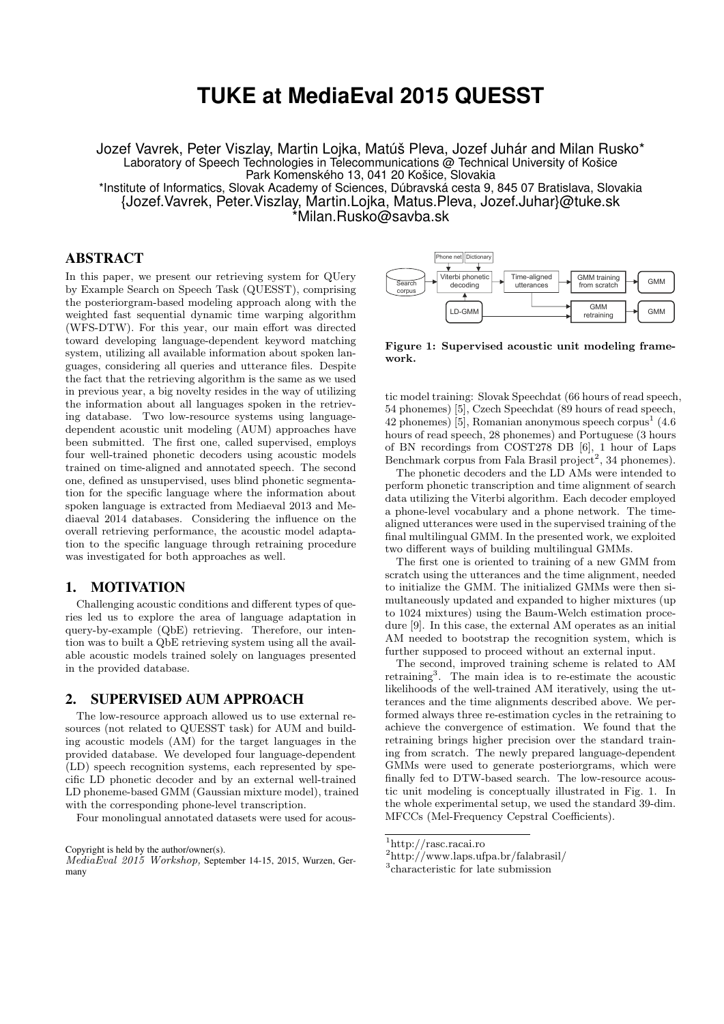# **TUKE at MediaEval 2015 QUESST**

Jozef Vavrek, Peter Viszlay, Martin Lojka, Matúš Pleva, Jozef Juhár and Milan Rusko\* Laboratory of Speech Technologies in Telecommunications @ Technical University of Košice Park Komenského 13, 041 20 Košice, Slovakia

\*Institute of Informatics, Slovak Academy of Sciences, Dúbravská cesta 9, 845 07 Bratislava, Slovakia {Jozef.Vavrek, Peter.Viszlay, Martin.Lojka, Matus.Pleva, Jozef.Juhar}@tuke.sk \*Milan.Rusko@savba.sk

### ABSTRACT

In this paper, we present our retrieving system for QUery by Example Search on Speech Task (QUESST), comprising the posteriorgram-based modeling approach along with the weighted fast sequential dynamic time warping algorithm (WFS-DTW). For this year, our main effort was directed toward developing language-dependent keyword matching system, utilizing all available information about spoken languages, considering all queries and utterance files. Despite the fact that the retrieving algorithm is the same as we used in previous year, a big novelty resides in the way of utilizing the information about all languages spoken in the retrieving database. Two low-resource systems using languagedependent acoustic unit modeling (AUM) approaches have been submitted. The first one, called supervised, employs four well-trained phonetic decoders using acoustic models trained on time-aligned and annotated speech. The second one, defined as unsupervised, uses blind phonetic segmentation for the specific language where the information about spoken language is extracted from Mediaeval 2013 and Mediaeval 2014 databases. Considering the influence on the overall retrieving performance, the acoustic model adaptation to the specific language through retraining procedure was investigated for both approaches as well. In high space, we present our streament optics and the space of the space of the space of the space of the space of the space of the space of the space of the space of the space of the space of the space of the space of t

#### 1. MOTIVATION

Challenging acoustic conditions and different types of queries led us to explore the area of language adaptation in query-by-example (QbE) retrieving. Therefore, our intention was to built a QbE retrieving system using all the available acoustic models trained solely on languages presented in the provided database.

### 2. SUPERVISED AUM APPROACH

The low-resource approach allowed us to use external resources (not related to QUESST task) for AUM and building acoustic models (AM) for the target languages in the provided database. We developed four language-dependent (LD) speech recognition systems, each represented by specific LD phonetic decoder and by an external well-trained LD phoneme-based GMM (Gaussian mixture model), trained with the corresponding phone-level transcription.

Four monolingual annotated datasets were used for acous-

Copyright is held by the author/owner(s).

MediaEval 2015 Workshop, September 14-15, 2015, Wurzen, Ger-



Figure 1: Supervised acoustic unit modeling framework.

tic model training: Slovak Speechdat (66 hours of read speech, 54 phonemes) [5], Czech Speechdat (89 hours of read speech, 42 phonemes)  $\overline{5}$ , Romanian anonymous speech corpus<sup>1</sup> (4.6) hours of read speech, 28 phonemes) and Portuguese (3 hours of BN recordings from COST278 DB [6], 1 hour of Laps Benchmark corpus from Fala Brasil project<sup>2</sup>, 34 phonemes).

The phonetic decoders and the LD AMs were intended to perform phonetic transcription and time alignment of search data utilizing the Viterbi algorithm. Each decoder employed a phone-level vocabulary and a phone network. The timealigned utterances were used in the supervised training of the final multilingual GMM. In the presented work, we exploited two different ways of building multilingual GMMs.

The first one is oriented to training of a new GMM from scratch using the utterances and the time alignment, needed to initialize the GMM. The initialized GMMs were then simultaneously updated and expanded to higher mixtures (up to 1024 mixtures) using the Baum-Welch estimation procedure [9]. In this case, the external AM operates as an initial AM needed to bootstrap the recognition system, which is further supposed to proceed without an external input.

The second, improved training scheme is related to AM retraining<sup>3</sup>. The main idea is to re-estimate the acoustic likelihoods of the well-trained AM iteratively, using the utterances and the time alignments described above. We performed always three re-estimation cycles in the retraining to achieve the convergence of estimation. We found that the retraining brings higher precision over the standard training from scratch. The newly prepared language-dependent GMMs were used to generate posteriorgrams, which were finally fed to DTW-based search. The low-resource acoustic unit modeling is conceptually illustrated in Fig. 1. In the whole experimental setup, we used the standard 39-dim. MFCCs (Mel-Frequency Cepstral Coefficients).

<sup>1</sup>http://rasc.racai.ro

<sup>2</sup>http://www.laps.ufpa.br/falabrasil/

<sup>3</sup> characteristic for late submission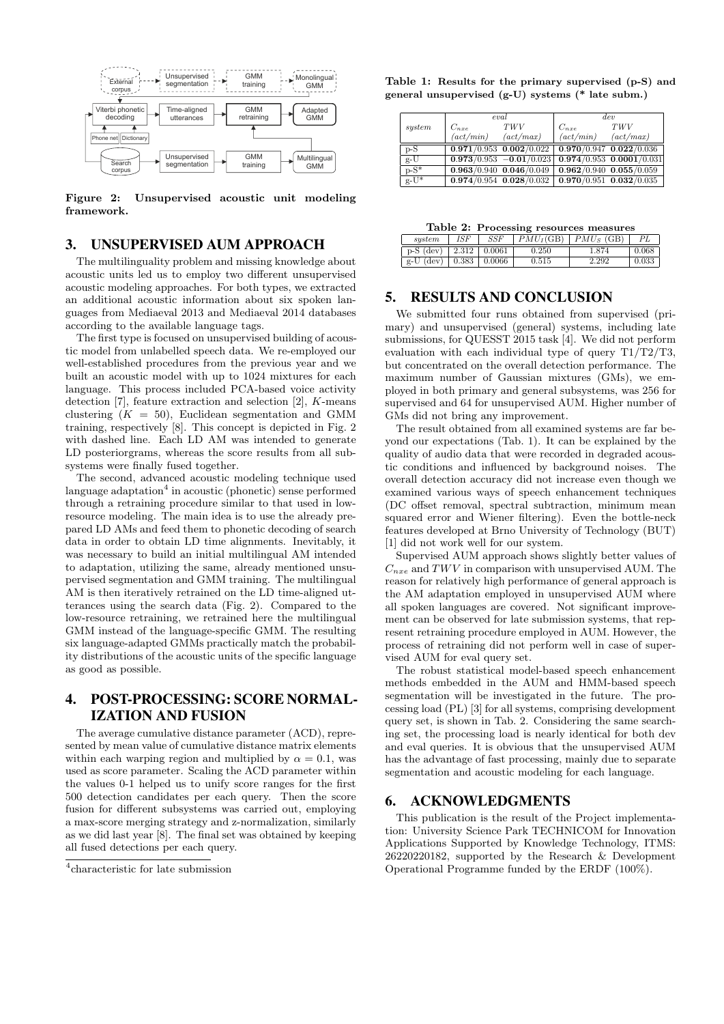

Figure 2: Unsupervised acoustic unit modeling framework.

# 3. UNSUPERVISED AUM APPROACH

The multilinguality problem and missing knowledge about acoustic units led us to employ two different unsupervised acoustic modeling approaches. For both types, we extracted an additional acoustic information about six spoken languages from Mediaeval 2013 and Mediaeval 2014 databases according to the available language tags.

The first type is focused on unsupervised building of acoustic model from unlabelled speech data. We re-employed our well-established procedures from the previous year and we built an acoustic model with up to 1024 mixtures for each language. This process included PCA-based voice activity detection [7], feature extraction and selection [2], K-means clustering  $(K = 50)$ , Euclidean segmentation and GMM training, respectively [8]. This concept is depicted in Fig. 2 with dashed line. Each LD AM was intended to generate LD posteriorgrams, whereas the score results from all subsystems were finally fused together.

The second, advanced acoustic modeling technique used language adaptation<sup>4</sup> in acoustic (phonetic) sense performed through a retraining procedure similar to that used in lowresource modeling. The main idea is to use the already prepared LD AMs and feed them to phonetic decoding of search data in order to obtain LD time alignments. Inevitably, it was necessary to build an initial multilingual AM intended to adaptation, utilizing the same, already mentioned unsupervised segmentation and GMM training. The multilingual AM is then iteratively retrained on the LD time-aligned utterances using the search data (Fig. 2). Compared to the low-resource retraining, we retrained here the multilingual GMM instead of the language-specific GMM. The resulting six language-adapted GMMs practically match the probability distributions of the acoustic units of the specific language as good as possible.

# 4. POST-PROCESSING: SCORE NORMAL-IZATION AND FUSION

The average cumulative distance parameter (ACD), represented by mean value of cumulative distance matrix elements within each warping region and multiplied by  $\alpha = 0.1$ , was used as score parameter. Scaling the ACD parameter within the values 0-1 helped us to unify score ranges for the first 500 detection candidates per each query. Then the score fusion for different subsystems was carried out, employing a max-score merging strategy and z-normalization, similarly as we did last year [8]. The final set was obtained by keeping all fused detections per each query.

Table 1: Results for the primary supervised (p-S) and general unsupervised (g-U) systems (\* late subm.)

|                  |                   | eval                                                  | dev       |                               |  |
|------------------|-------------------|-------------------------------------------------------|-----------|-------------------------------|--|
| system           | $C_{nxe}$         | <i>TWV</i>                                            | $C_{nxe}$ | <b>TWV</b>                    |  |
|                  | $(\alpha ct/min)$ | (act/max)                                             | (act/min) | $(\textit{act}/\textit{max})$ |  |
| $p-S$            |                   | $0.971/0.953$ $0.002/0.022$ 0.970/0.947 $0.022/0.036$ |           |                               |  |
| $g-\overline{U}$ |                   | $0.973/0.953 -0.01/0.023$                             |           | $0.974/0.953$ $0.0001/0.031$  |  |
| $p-S^*$          |                   | $0.963/0.940$ $0.046/0.049$                           |           | $0.962/0.940$ $0.055/0.059$   |  |
| $g-U^*$          |                   | $0.974/0.954$ $0.028/0.032$                           |           | $0.970/0.951$ $0.032/0.035$   |  |

| Table 2: Processing resources measures |  |
|----------------------------------------|--|
|----------------------------------------|--|

| sustem      | <i>ISF</i>      | SSF    | $PMU_I(GB)$ | $PMU_S$ (GB) | PL    |
|-------------|-----------------|--------|-------------|--------------|-------|
| $p-S$ (dev) | 12.312          | 0.0061 | 0.250       |              | 0.068 |
| $g-U$ (dev) | $ 0.383\rangle$ | 0.0066 | 0.515       | 2.292        | 0.033 |

# 5. RESULTS AND CONCLUSION

We submitted four runs obtained from supervised (primary) and unsupervised (general) systems, including late submissions, for QUESST 2015 task [4]. We did not perform evaluation with each individual type of query T1/T2/T3, but concentrated on the overall detection performance. The maximum number of Gaussian mixtures (GMs), we employed in both primary and general subsystems, was 256 for supervised and 64 for unsupervised AUM. Higher number of GMs did not bring any improvement.

The result obtained from all examined systems are far beyond our expectations (Tab. 1). It can be explained by the quality of audio data that were recorded in degraded acoustic conditions and influenced by background noises. The overall detection accuracy did not increase even though we examined various ways of speech enhancement techniques (DC offset removal, spectral subtraction, minimum mean squared error and Wiener filtering). Even the bottle-neck features developed at Brno University of Technology (BUT) [1] did not work well for our system.

Supervised AUM approach shows slightly better values of  $C_{nxe}$  and TWV in comparison with unsupervised AUM. The reason for relatively high performance of general approach is the AM adaptation employed in unsupervised AUM where all spoken languages are covered. Not significant improvement can be observed for late submission systems, that represent retraining procedure employed in AUM. However, the process of retraining did not perform well in case of supervised AUM for eval query set.

The robust statistical model-based speech enhancement methods embedded in the AUM and HMM-based speech segmentation will be investigated in the future. The processing load (PL) [3] for all systems, comprising development query set, is shown in Tab. 2. Considering the same searching set, the processing load is nearly identical for both dev and eval queries. It is obvious that the unsupervised AUM has the advantage of fast processing, mainly due to separate segmentation and acoustic modeling for each language.

## 6. ACKNOWLEDGMENTS

This publication is the result of the Project implementation: University Science Park TECHNICOM for Innovation Applications Supported by Knowledge Technology, ITMS: 26220220182, supported by the Research & Development Operational Programme funded by the ERDF (100%).

<sup>4</sup> characteristic for late submission